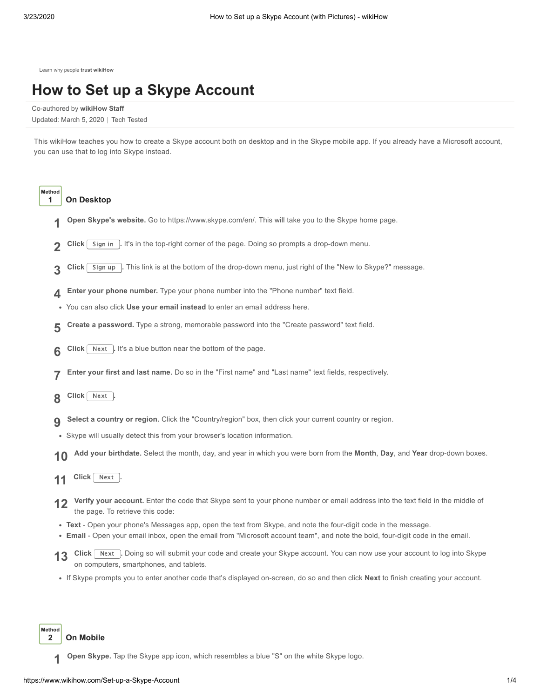[Learn why people](https://www.wikihow.com/wikiHow:Delivering-a-Trustworthy-Experience) **trust wikiHow**

# **How to Set up a Skype [Account](https://www.wikihow.com/Set-up-a-Skype-Account)**

Co-authored by **wikiHow Staff**

Updated: March 5, 2020 | Tech Tested

This wikiHow teaches you how to create a Skype account both on desktop and in the Skype mobile app. If you already have a [Microsoft](https://www.wikihow.com/Create-a-Microsoft-Account) account, you can use that to log into Skype instead.



## **1 On Desktop**

- **1 Open Skype's website.** Go to <https://www.skype.com/en/>. This will take you to the Skype home page.
- **2 Click** Sign in **.** It's in the top-right corner of the page. Doing so prompts a drop-down menu.
- **3 Click** Sign up **.** This link is at the bottom of the drop-down menu, just right of the "New to Skype?" message.
- **4 Enter your phone number.** Type your phone number into the "Phone number" text field.
- You can also click **Use your email instead** to enter an email address here.
- **5 Create a password.** Type a strong, memorable password into the "Create password" text field.
- **6 Click** Next . It's a blue button near the bottom of the page.
- **7 Enter your first and last name.** Do so in the "First name" and "Last name" text fields, respectively.
- **8 Click** Next **.**
- **9 Select a country or region.** Click the "Country/region" box, then click your current country or region.
- Skype will usually detect this from your browser's location information.
- **10 Add your birthdate.** Select the month, day, and year in which you were born from the **Month**, **Day**, and **Year** drop-down boxes.
- **11 Click** Next **.**
- **12 Verify your account.** Enter the code that Skype sent to your phone number or email address into the text field in the middle of the page. To retrieve this code:
- **Text** Open your phone's Messages app, open the text from Skype, and note the four-digit code in the message.
- **Email** Open your email inbox, open the email from "Microsoft account team", and note the bold, four-digit code in the email.
- **13** Click Next **.** Doing so will submit your code and create your Skype account. You can now use your account to log into Skype on computers, smartphones, and tablets.
- If Skype prompts you to enter another code that's displayed on-screen, do so and then click **Next** to finish creating your account.

**Method 2 On Mobile**

**1 Open Skype.** Tap the Skype app icon, which resembles a blue "S" on the white Skype logo.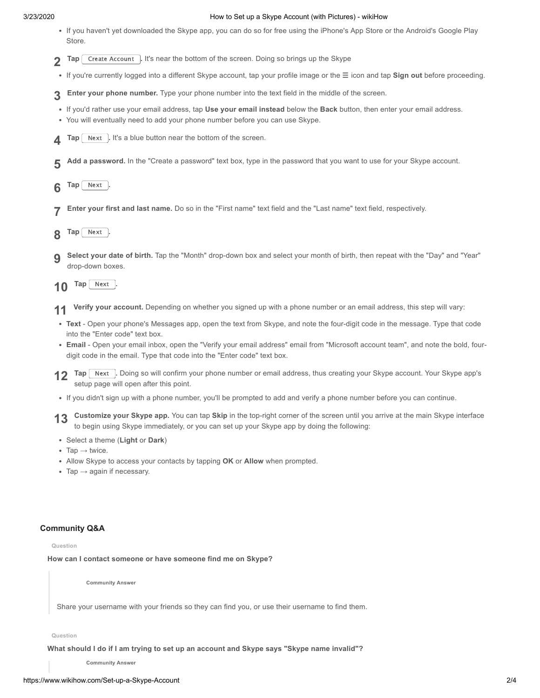## 3/23/2020 How to Set up a Skype Account (with Pictures) - wikiHow

- If you haven't yet [downloaded](https://www.wikihow.com/Download-Apps-on-Android) the Skype app, you can do so for free using the [iPhone's](https://www.wikihow.com/Download-An-App-onto-an-iPhone-or-iPod-Touch) App Store or the Android's Google Play Store.
- **2 Tap** Create Account **.** It's near the bottom of the screen. Doing so brings up the Skype
- If you're currently logged into a different Skype account, tap your profile image or the ☰ icon and tap **Sign out** before proceeding.
- **3 Enter your phone number.** Type your phone number into the text field in the middle of the screen.
- If you'd rather use your email address, tap **Use your email instead** below the **Back** button, then enter your email address.
- You will eventually need to add your phone number before you can use Skype.
- **4 Tap** Next **.** It's a blue button near the bottom of the screen.
- **5 Add a password.** In the "Create a password" text box, type in the password that you want to use for your Skype account.
- **6 Tap** Next .
- **7 Enter your first and last name.** Do so in the "First name" text field and the "Last name" text field, respectively.
- **8 Tap** Next **.**
- **9 Select your date of birth.** Tap the "Month" drop-down box and select your month of birth, then repeat with the "Day" and "Year" drop-down boxes.
- **10 Tap** Next **.**
- **11 Verify your account.** Depending on whether you signed up with a phone number or an email address, this step will vary:
- **Text** Open your phone's Messages app, open the text from Skype, and note the four-digit code in the message. Type that code into the "Enter code" text box.
- **Email** Open your email inbox, open the "Verify your email address" email from "Microsoft account team", and note the bold, fourdigit code in the email. Type that code into the "Enter code" text box.
- **12 Tap** Next **.** Doing so will confirm your phone number or email address, thus creating your Skype account. Your Skype app's continuously apply setup page will open after this point.
- If you didn't sign up with a phone number, you'll be prompted to add and verify a phone number before you can continue.

**13 Customize your Skype app.** You can tap **Skip** in the top-right corner of the screen until you arrive at the main Skype interface to begin using Skype immediately, or you can set up your Skype app by doing the following:

- Select a theme (**Light** or **Dark**)
- Tap **→** twice.
- Allow Skype to access your contacts by tapping **OK** or **Allow** when prompted.
- Tap **→** again if necessary.

## **Community Q&A**

#### **Question**

**How can I contact someone or have someone find me on Skype?**

**Community Answer**

Share your username with your friends so they can find you, or use their username to find them.

**Question**

**What should I do if I am trying to set up an account and Skype says "Skype name invalid"?**

**Community Answer**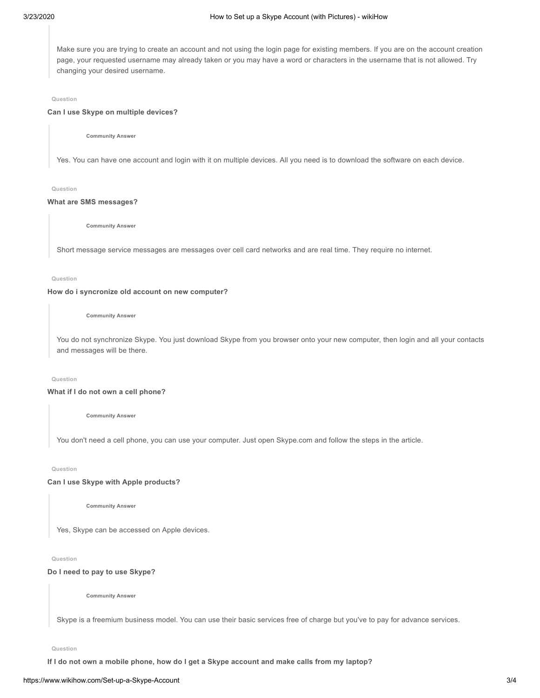Make sure you are trying to create an account and not using the login page for existing members. If you are on the account creation page, your requested username may already taken or you may have a word or characters in the username that is not allowed. Try changing your desired username.

#### **Question**

## **Can I use Skype on multiple devices?**

**Community Answer**

Yes. You can have one account and login with it on multiple devices. All you need is to download the software on each device.

#### **Question**

#### **What are SMS messages?**

**Community Answer**

Short message service messages are messages over cell card networks and are real time. They require no internet.

#### **Question**

#### **How do i syncronize old account on new computer?**

**Community Answer**

You do not synchronize Skype. You just download Skype from you browser onto your new computer, then login and all your contacts and messages will be there.

#### **Question**

## **What if I do not own a cell phone?**

**Community Answer**

You don't need a cell phone, you can use your computer. Just open Skype.com and follow the steps in the article.

**Question**

## **Can I use Skype with Apple products?**

**Community Answer**

Yes, Skype can be accessed on Apple devices.

#### **Question**

#### **Do I need to pay to use Skype?**

**Community Answer**

Skype is a freemium business model. You can use their basic services free of charge but you've to pay for advance services.

**Question**

If I do not own a mobile phone, how do I get a Skype account and make calls from my laptop?